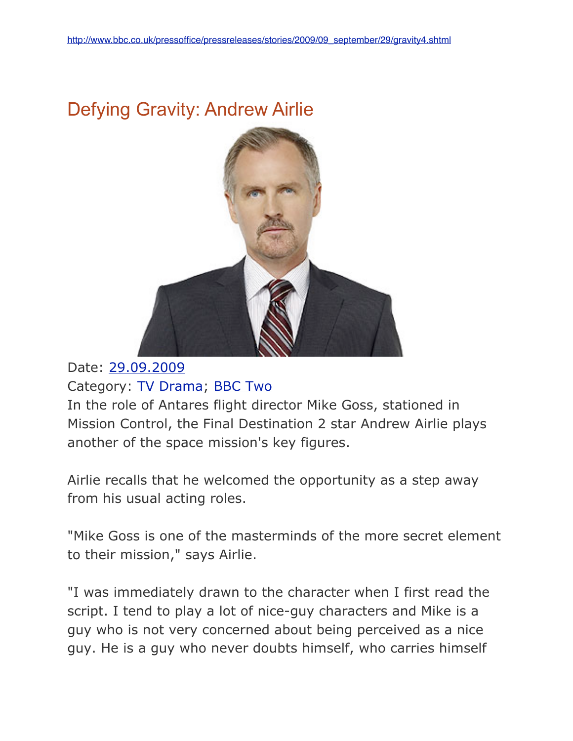## Defying Gravity: Andrew Airlie



## Date: [29.09.2009](http://www.bbc.co.uk/pressoffice/pressreleases/stories/2009/09_september/29/index.shtml) Category: [TV Drama](http://www.bbc.co.uk/pressoffice/pressreleases/category/tv_drama_index.shtml); [BBC Two](http://www.bbc.co.uk/pressoffice/pressreleases/category/bbctwo_index.shtml)

In the role of Antares flight director Mike Goss, stationed in Mission Control, the Final Destination 2 star Andrew Airlie plays another of the space mission's key figures.

Airlie recalls that he welcomed the opportunity as a step away from his usual acting roles.

"Mike Goss is one of the masterminds of the more secret element to their mission," says Airlie.

"I was immediately drawn to the character when I first read the script. I tend to play a lot of nice-guy characters and Mike is a guy who is not very concerned about being perceived as a nice guy. He is a guy who never doubts himself, who carries himself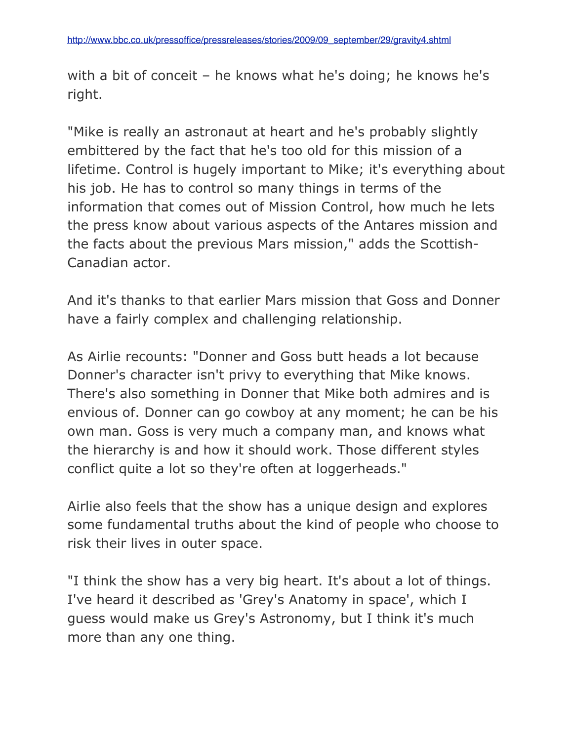with a bit of conceit – he knows what he's doing; he knows he's right.

"Mike is really an astronaut at heart and he's probably slightly embittered by the fact that he's too old for this mission of a lifetime. Control is hugely important to Mike; it's everything about his job. He has to control so many things in terms of the information that comes out of Mission Control, how much he lets the press know about various aspects of the Antares mission and the facts about the previous Mars mission," adds the Scottish-Canadian actor.

And it's thanks to that earlier Mars mission that Goss and Donner have a fairly complex and challenging relationship.

As Airlie recounts: "Donner and Goss butt heads a lot because Donner's character isn't privy to everything that Mike knows. There's also something in Donner that Mike both admires and is envious of. Donner can go cowboy at any moment; he can be his own man. Goss is very much a company man, and knows what the hierarchy is and how it should work. Those different styles conflict quite a lot so they're often at loggerheads."

Airlie also feels that the show has a unique design and explores some fundamental truths about the kind of people who choose to risk their lives in outer space.

"I think the show has a very big heart. It's about a lot of things. I've heard it described as 'Grey's Anatomy in space', which I guess would make us Grey's Astronomy, but I think it's much more than any one thing.